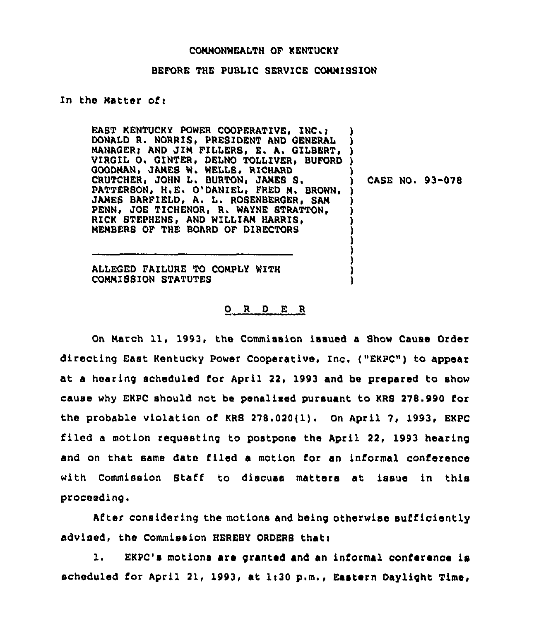## CONNONWEALTH OF KENTUCKY

## BEFORE THE PUBLIC SERVICE CONNISSION

## In the Natter of:

EAST KENTUCKY POWER COOPERATIVE, INC. ; DONALD R. NORRIS, PRESIDENT AND GENERAL MANAGER; AND JIN FILLERS, E. A. GILBERT, VIRGIL O. GINTER, DELNO TOLLIVER, BUFORD GOODNAN, JANES W. WELLS, RICHARD CRUTCHER, JOHN L. BURTON, JANES S. PATTERSON, H.E. O'DANIEL, FRED N. BROWN, JAMES BARFIELD, A. L. ROSENBERGER, SAN PENN, JOE TICHENOR, R. WAYNE STRATTON, RICK STEPHENS, AND WILLIAN HARRIS, NENBERS OF THE BOARD OF DIRECTORS ) ) ) ) ) ) )

) CASE NO. 93-078

) ) ) )

ALLEGED FAILURE TO CONPLY WITH CONNI88ION STATUTES

## 0 <sup>R</sup> <sup>D</sup> E <sup>R</sup>

On Narch 11, 1993, the Commission issued a Show Cause Order directing East Kentucky Power Cooperative, Inc. ("EKPC") to appear at a hearing scheduled for April 22, 1993 and be prepared to show cause why EKPC should not be penalised pursuant to KRS 278.990 for the probable violation of KRS 278.020(1). On April 7, 1993, EKPC filed a motion reguesting to postpone the April 22, 1993 hearing and on that same date filed a motion for an informal conference with Commission Staff to discuss matters at issue in this proceeding.

After considering the motions and being otherwise sufficiently advised, the Commission HEREBY ORDERS that:

1. EKPC's motions are granted and an informal conference is scheduled for April 21, 1993, at 1:30 p.m., Eastern Daylight Time,